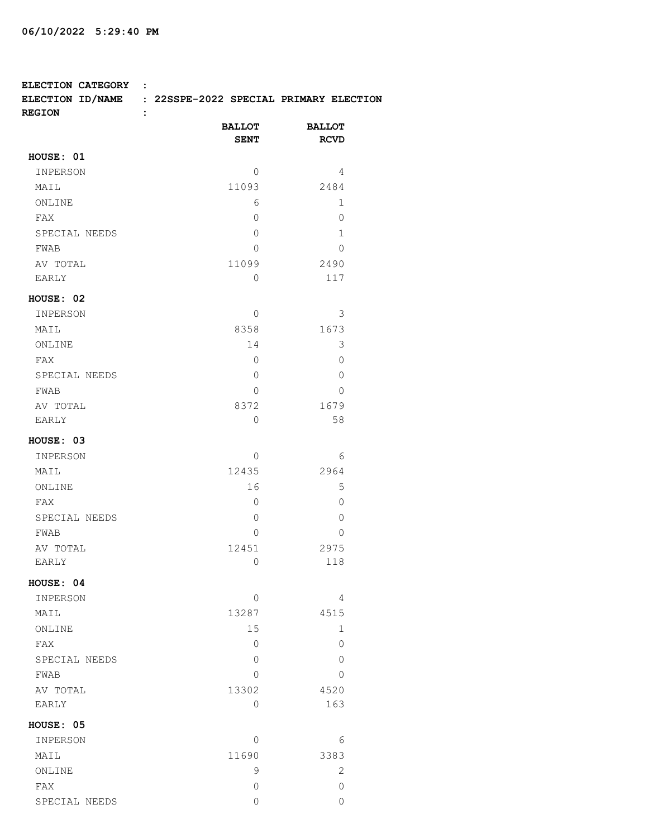**ELECTION CATEGORY :** 

**ELECTION ID/NAME : 22SSPE-2022 SPECIAL PRIMARY ELECTION**

| <b>REGION</b><br>: |                              |                              |
|--------------------|------------------------------|------------------------------|
|                    | <b>BALLOT</b><br><b>SENT</b> | <b>BALLOT</b><br><b>RCVD</b> |
| HOUSE: 01          |                              |                              |
| INPERSON           | 0                            | 4                            |
| MAIL               | 11093                        | 2484                         |
| ONLINE             | 6                            | 1                            |
| FAX                | 0                            | 0                            |
| SPECIAL NEEDS      | $\Omega$                     | 1                            |
| FWAB               | 0                            | $\Omega$                     |
| AV TOTAL           | 11099                        | 2490                         |
| EARLY              | $\Omega$                     | 117                          |
| HOUSE: 02          |                              |                              |
| INPERSON           | $\Omega$                     | 3                            |
| MAIL               | 8358                         | 1673                         |
| ONLINE             | 14                           | 3                            |
| FAX                | $\Omega$                     | $\Omega$                     |
| SPECIAL NEEDS      | $\Omega$                     | 0                            |
| FWAB               | $\Omega$                     | 0                            |
| AV TOTAL           | 8372                         | 1679                         |
| EARLY              | $\Omega$                     | 58                           |
| HOUSE: 03          |                              |                              |
| INPERSON           | $\Omega$                     | 6                            |
| MAIL               | 12435                        | 2964                         |
| ONLINE             | 16                           | 5                            |
| FAX                | 0                            | 0                            |
| SPECIAL NEEDS      | 0                            | 0                            |
| FWAB               | $\Omega$                     | 0                            |
| AV TOTAL           | 12451                        | 2975                         |
| EARLY              | 0                            | 118                          |
| <b>HOUSE: 04</b>   |                              |                              |
| INPERSON           | $\Omega$                     | 4                            |
| MAIL               | 13287                        | 4515                         |
| ONLINE             | 15                           | 1                            |
| FAX                | 0                            | 0                            |
| SPECIAL NEEDS      | 0                            | 0                            |
| FWAB               | 0                            | 0                            |
| AV TOTAL           | 13302                        | 4520                         |
| EARLY              | 0                            | 163                          |
| HOUSE: 05          |                              |                              |
| INPERSON           | 0                            | 6                            |
| MAIL               | 11690                        | 3383                         |
| ONLINE             | 9                            | 2                            |
| FAX                | 0                            | 0                            |
| SPECIAL NEEDS      | $\overline{0}$               | 0                            |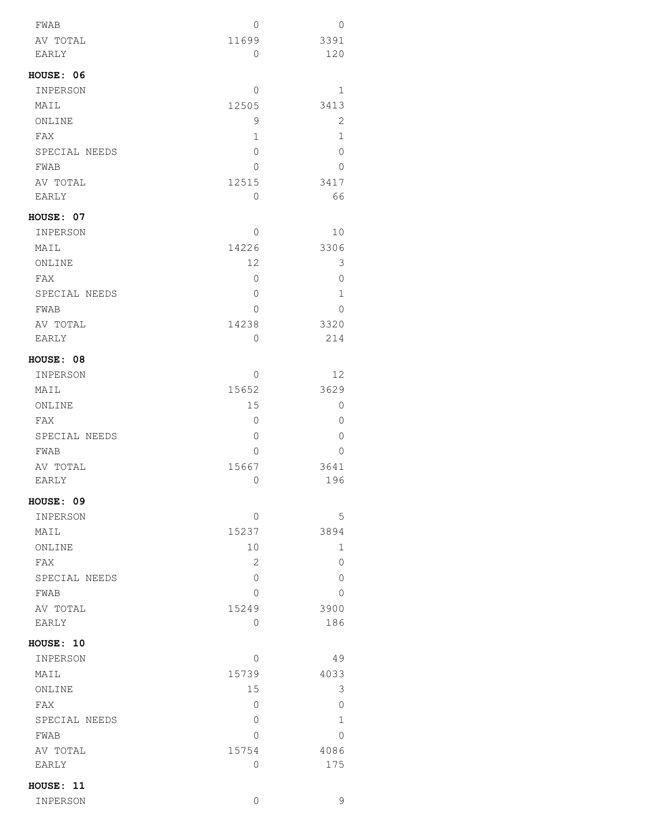| INPERSON              | 0            | 9              |
|-----------------------|--------------|----------------|
| HOUSE: 11             |              |                |
| EARLY                 | 0            | 175            |
| AV TOTAL              | 15754        | 4086           |
| FWAB                  | 0            | $\Omega$       |
| SPECIAL NEEDS         | 0            | $\mathbf 1$    |
| FAX                   | 0            | $\mathbf 0$    |
| ONLINE                | 15           | 3              |
| MAIL                  | 15739        | 4033           |
| INPERSON              | 0            | 49             |
| HOUSE: 10             |              |                |
| EARLY                 | 0            | 186            |
| AV TOTAL              | 15249        | 3900           |
| FWAB                  | 0            | 0              |
| SPECIAL NEEDS         | 0            | 0              |
| FAX                   |              |                |
|                       | 2            | 0              |
| ONLINE                | 10           | 1              |
| MAIL                  | 15237        | 3894           |
| INPERSON              | 0            | 5              |
| HOUSE: 09             |              |                |
| EARLY                 | 0            | 196            |
| AV TOTAL              | 15667        | 3641           |
| FWAB                  | 0            | 0              |
| SPECIAL NEEDS         | 0            | 0              |
| FAX                   | 0            | $\overline{0}$ |
| ONLINE                | 15           | 0              |
| MAIL                  | 15652        | 3629           |
| INPERSON              | 0            | 12             |
| HOUSE: 08             |              |                |
| EARLY                 | 0            | 214            |
| AV TOTAL              | 14238        | 3320           |
| FWAB                  | 0            | 0              |
| SPECIAL NEEDS         | 0            | $\mathbf 1$    |
| FAX                   | 0            | 0              |
| ONLINE                | 12           | 3              |
| MAIL                  | 14226        | 3306           |
| INPERSON              | 0            | 10             |
| HOUSE: 07             |              |                |
|                       |              |                |
| EARLY                 | 0            | 66             |
| AV TOTAL              | 12515        | 3417           |
| FWAB                  | 0            | 0              |
| SPECIAL NEEDS         | 0            | 0              |
| FAX                   | $\mathbf{1}$ | $\mathbf{1}$   |
| MAIL<br>ONLINE        | 9            | 2              |
|                       | 12505        | 3413           |
| HOUSE: 06<br>INPERSON | 0            | 1              |
|                       |              |                |
| EARLY                 | 0            | 120            |
| AV TOTAL              | 11699        | 3391           |
| ${\tt FWAB}$          | 0            | 0              |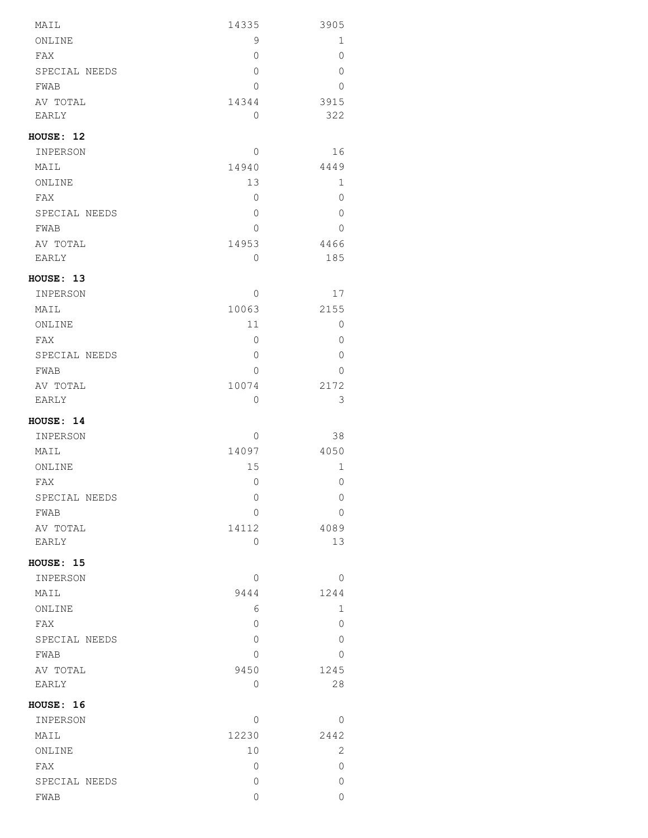| MAIL              | 14335          | 3905           |
|-------------------|----------------|----------------|
| ONLINE            | 9              | 1              |
| FAX               | 0              | $\circ$        |
| SPECIAL NEEDS     | 0              | $\overline{0}$ |
| FWAB              | 0              | $\overline{0}$ |
| AV TOTAL          | 14344          | 3915           |
| EARLY             | 0              | 322            |
| HOUSE: 12         |                |                |
| INPERSON          | 0              | 16             |
| MAIL              | 14940          | 4449           |
| ONLINE            | 13             | 1              |
| FAX               | 0              | 0              |
| SPECIAL NEEDS     | 0              | $\overline{0}$ |
| FWAB              | 0              | 0              |
| AV TOTAL          | 14953          | 4466           |
| EARLY             | 0              | 185            |
| HOUSE: 13         |                |                |
| INPERSON          | $\Omega$       | 17             |
| MAIL              | 10063          | 2155           |
| ONLINE            | 11             | 0              |
| FAX               | 0              | $\overline{0}$ |
| SPECIAL NEEDS     | 0              | 0              |
| FWAB              | $\Omega$       | $\Omega$       |
| AV TOTAL<br>EARLY | 10074<br>0     | 2172<br>3      |
|                   |                |                |
| HOUSE: 14         |                |                |
| INPERSON          | 0              | 38             |
| MAIL              | 14097          | 4050           |
| ONLINE            | 15             | 1              |
| FAX               | $\overline{0}$ | 0              |
| SPECIAL NEEDS     | 0<br>0         | 0<br>0         |
| FWAB              | 14112          | 4089           |
| AV TOTAL<br>EARLY | 0              | 13             |
| HOUSE: 15         |                |                |
| INPERSON          | $\Omega$       | $\Omega$       |
| MAIL              | 9444           | 1244           |
| ONLINE            | 6              | 1              |
| FAX               | 0              | $\Omega$       |
| SPECIAL NEEDS     | 0              | 0              |
| FWAB              | 0              | 0              |
| AV TOTAL          | 9450           | 1245           |
| EARLY             | 0              | 28             |
| HOUSE: 16         |                |                |
| INPERSON          | 0              | 0              |
| MAIL              | 12230          | 2442           |
| ONLINE            | 10             | 2              |
| FAX               | 0              | 0              |
| SPECIAL NEEDS     | 0              | 0              |
| FWAB              | 0              | 0              |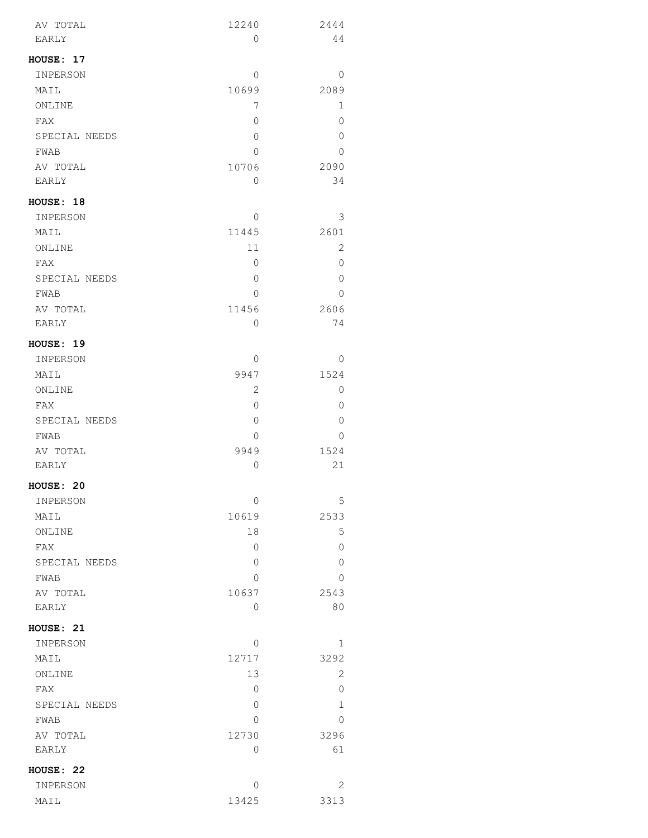| AV TOTAL      | 12240        | 2444    |
|---------------|--------------|---------|
| EARLY         | 0            | 44      |
| HOUSE: 17     |              |         |
| INPERSON      | 0            | 0       |
| MAIL          | 10699        | 2089    |
| ONLINE        | 7            | 1       |
| FAX           | $\mathbf{0}$ | 0       |
| SPECIAL NEEDS | $\mathbf{0}$ | $\circ$ |
| FWAB          | $\Omega$     | 0       |
| AV TOTAL      | 10706        | 2090    |
| EARLY         | 0            | 34      |
|               |              |         |
| HOUSE: 18     |              |         |
| INPERSON      | 0            | 3       |
| MAIL          | 11445        | 2601    |
| ONLINE        | 11           | 2       |
| FAX           | 0            | $\circ$ |
| SPECIAL NEEDS | 0            | 0       |
| FWAB          | $\Omega$     | 0       |
| AV TOTAL      | 11456        | 2606    |
| EARLY         | 0            | 74      |
| HOUSE: 19     |              |         |
| INPERSON      | 0            | 0       |
| MAIL          | 9947         | 1524    |
| ONLINE        | $\mathbf{2}$ | 0       |
| FAX           | 0            | 0       |
| SPECIAL NEEDS | $\mathbf{0}$ | 0       |
| FWAB          | 0            | $\circ$ |
| AV TOTAL      | 9949         | 1524    |
| EARLY         | $\mathbf 0$  | 21      |
|               |              |         |
| HOUSE: 20     |              |         |
| INPERSON      | $\mathbf 0$  | 5       |
| MAIL          | 10619        | 2533    |
| ONLINE        | 18           | 5       |
| FAX           | 0            | 0       |
| SPECIAL NEEDS | 0            | 0       |
| FWAB          | 0            | 0       |
| AV TOTAL      | 10637        | 2543    |
| EARLY         | 0            | 80      |
| HOUSE: 21     |              |         |
| INPERSON      | 0            | 1       |
| MAIL          | 12717        | 3292    |
| ONLINE        | 13           | 2       |
| FAX           | 0            | 0       |
| SPECIAL NEEDS | 0            | 1       |
| FWAB          | $\Omega$     | 0       |
| AV TOTAL      | 12730        | 3296    |
| EARLY         | 0            | 61      |
|               |              |         |
| HOUSE: 22     |              |         |
| INPERSON      | 0            | 2       |
| MAIL          | 13425        | 3313    |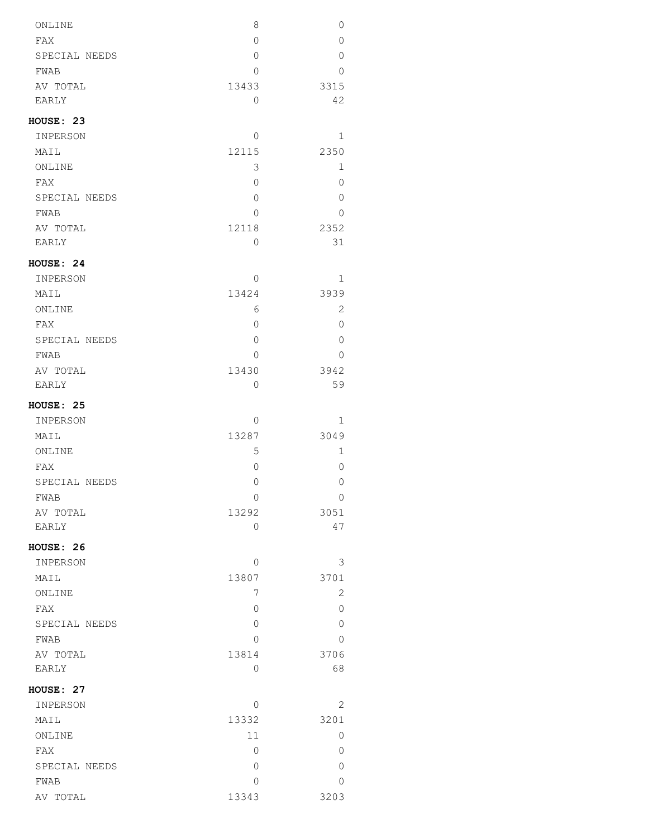| ONLINE           | 8        | 0            |
|------------------|----------|--------------|
| FAX              | 0        | 0            |
| SPECIAL NEEDS    | $\Omega$ | $\Omega$     |
| FWAB             | 0        | 0            |
| AV TOTAL         | 13433    | 3315         |
| EARLY            | $\Omega$ | 42           |
| HOUSE: 23        |          |              |
| INPERSON         | $\Omega$ | 1            |
| MAIL             | 12115    | 2350         |
| ONLINE           | 3        | $\mathbf 1$  |
| FAX              | $\Omega$ | 0            |
| SPECIAL NEEDS    | 0        | 0            |
| FWAB             | $\Omega$ | $\Omega$     |
| AV TOTAL         | 12118    | 2352         |
| EARLY            | 0        | 31           |
| HOUSE: 24        |          |              |
| INPERSON         | $\Omega$ | 1            |
| MAIL             | 13424    | 3939         |
| ONLINE           | 6        | 2            |
| FAX              | 0        | 0            |
| SPECIAL NEEDS    | 0        | 0            |
| FWAB             | $\Omega$ | 0            |
| AV TOTAL         | 13430    | 3942         |
| EARLY            | 0        | 59           |
| HOUSE: 25        |          |              |
| INPERSON         | 0        | 1            |
| MAIL             | 13287    | 3049         |
| ONLINE           | 5        | 1            |
| FAX              | 0        | 0            |
| SPECIAL NEEDS    | $\Omega$ | 0            |
|                  | 0        | 0            |
| FWAB<br>AV TOTAL | 13292    | 3051         |
| EARLY            | 0        | 47           |
|                  |          |              |
| HOUSE: 26        |          |              |
| INPERSON         | $\Omega$ | 3            |
| MAIL             | 13807    | 3701         |
| ONLINE           | 7        | $\mathbf{2}$ |
| FAX              | $\Omega$ | 0            |
| SPECIAL NEEDS    | 0        | 0            |
| FWAB             | $\Omega$ | 0            |
| AV TOTAL         | 13814    | 3706         |
| EARLY            | 0        | 68           |
| HOUSE: 27        |          |              |
| INPERSON         | $\Omega$ | 2            |
| MAIL             | 13332    | 3201         |
| ONLINE           | 11       | 0            |
| FAX              | 0        | 0            |
| SPECIAL NEEDS    | 0        | 0            |
| FWAB             | 0        | 0            |
| AV TOTAL         | 13343    | 3203         |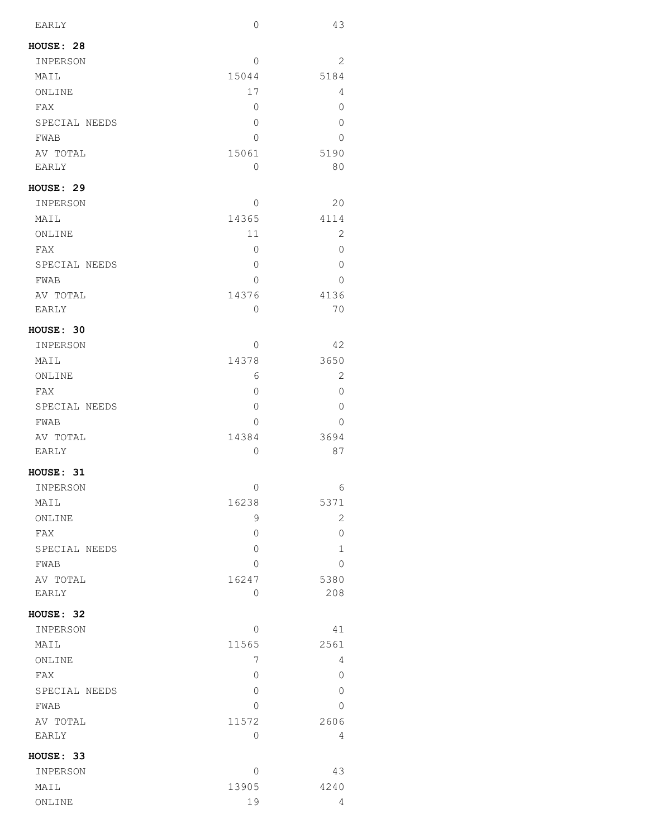| EARLY         | $\circ$      | 43           |
|---------------|--------------|--------------|
| HOUSE: 28     |              |              |
| INPERSON      | $\Omega$     | 2            |
| MAIL          | 15044        | 5184         |
| ONLINE        | 17           | 4            |
| FAX           | 0            | 0            |
| SPECIAL NEEDS | 0            | 0            |
| FWAB          | 0            | 0            |
| AV TOTAL      | 15061        | 5190         |
| EARLY         | 0            | 80           |
| HOUSE: 29     |              |              |
| INPERSON      | 0            | 20           |
| MAIL          | 14365        | 4114         |
| ONLINE        | 11           | 2            |
| FAX           | 0            | 0            |
| SPECIAL NEEDS | 0            | 0            |
| FWAB          | 0            | 0            |
| AV TOTAL      | 14376        | 4136         |
| EARLY         | 0            | 70           |
| HOUSE: 30     |              |              |
| INPERSON      | 0            | 42           |
| MAIL          | 14378        | 3650         |
| ONLINE        | 6            | $\mathbf{2}$ |
| FAX           | 0            | 0            |
| SPECIAL NEEDS | $\mathbf{0}$ | 0            |
| FWAB          | 0            | 0            |
| AV TOTAL      | 14384        | 3694         |
| EARLY         | 0            | 87           |
| HOUSE: 31     |              |              |
| INPERSON      | 0            | 6            |
| MAIL          | 16238        | 5371         |
| ONLINE        | 9            | 2            |
| FAX           | 0            | 0            |
| SPECIAL NEEDS | $\mathbf 0$  | 1            |
| FWAB          | $\Omega$     | 0            |
| AV TOTAL      | 16247        | 5380         |
| EARLY         | $\mathbf 0$  | 208          |
| HOUSE: 32     |              |              |
| INPERSON      | $\Omega$     | 41           |
| MAIL          | 11565        | 2561         |
| ONLINE        | 7            | 4            |
| FAX           | $\mathbf 0$  | 0            |
| SPECIAL NEEDS | 0            | 0            |
| FWAB          | $\Omega$     | 0            |
| AV TOTAL      | 11572        | 2606         |
| EARLY         | 0            | 4            |
| HOUSE: 33     |              |              |
| INPERSON      | 0            | 43           |
| MAIL          | 13905        | 4240         |
| ONLINE        | 19           | 4            |
|               |              |              |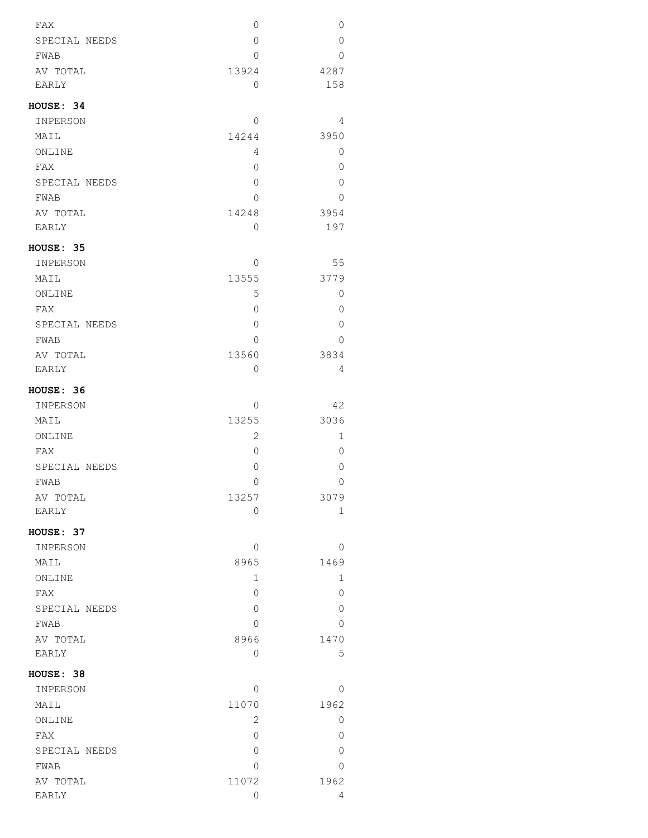| FAX           | 0              | 0              |
|---------------|----------------|----------------|
| SPECIAL NEEDS | 0              | $\Omega$       |
| FWAB          | 0              | $\Omega$       |
| AV TOTAL      | 13924          | 4287           |
| <b>EARLY</b>  | $\Omega$       | 158            |
| HOUSE: 34     |                |                |
| INPERSON      | $\Omega$       | 4              |
| MAIL          | 14244          | 3950           |
| ONLINE        | 4              | $\overline{0}$ |
| FAX           | 0              | 0              |
| SPECIAL NEEDS | 0              | 0              |
| FWAB          | 0              | 0              |
| AV TOTAL      | 14248          | 3954           |
| EARLY         | 0              | 197            |
| HOUSE: 35     |                |                |
| INPERSON      | $\Omega$       | 55             |
| MAIL          | 13555          | 3779           |
| ONLINE        | 5              | 0              |
| FAX           | 0              | 0              |
| SPECIAL NEEDS | 0              | 0              |
| FWAB          | $\Omega$       | $\Omega$       |
| AV TOTAL      | 13560          | 3834           |
| EARLY         | 0              | 4              |
| HOUSE: 36     |                |                |
| INPERSON      | 0              | 42             |
| MAIL          | 13255          | 3036           |
| ONLINE        | $\overline{2}$ | 1              |
| FAX           | 0              | $\Omega$       |
| SPECIAL NEEDS | 0              | 0              |
| <b>FWAB</b>   | 0              | $\mathbf{0}$   |
| AV TOTAL      | 13257          | 3079           |
| EARLY         | 0              | 1              |
| HOUSE: 37     |                |                |
| INPERSON      | 0              | $\circ$        |
| MAIL          | 8965           | 1469           |
| ONLINE        | $\mathbf{1}$   | 1              |
| FAX           | 0              | 0              |
| SPECIAL NEEDS | 0              | 0              |
| FWAB          | 0              | 0              |
| AV TOTAL      | 8966           | 1470           |
| EARLY         | 0              | 5              |
| HOUSE: 38     |                |                |
| INPERSON      | $\Omega$       | $\circ$        |
| MAIL          | 11070          | 1962           |
| ONLINE        | 2              | 0              |
| FAX           | 0              | 0              |
| SPECIAL NEEDS | 0              | 0              |
| FWAB          | 0              | $\overline{0}$ |
| AV TOTAL      | 11072          | 1962           |
| EARLY         | 0              | 4              |